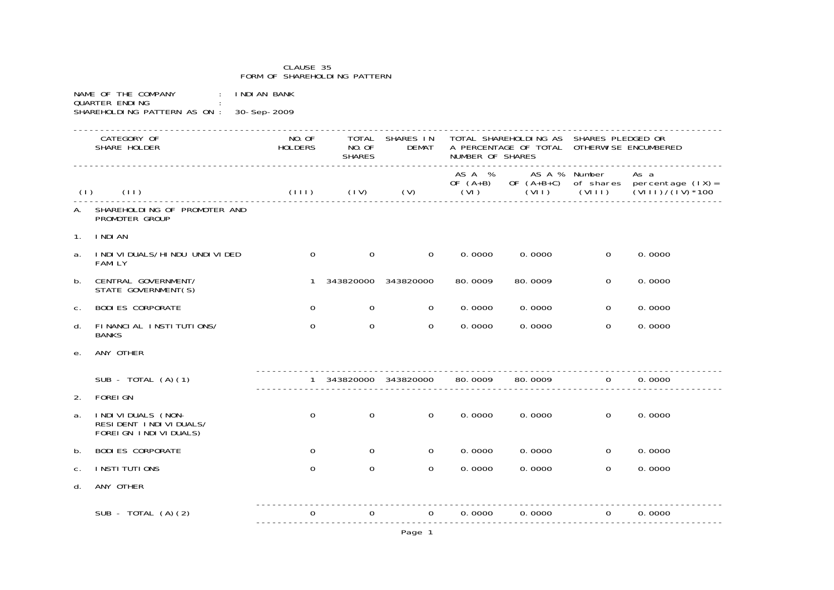## CLAUSE 35 FORM OF SHAREHOLDING PATTERNNAME OF THE COMPANY : INDIAN BANK QUARTER ENDING SHAREHOLDING PATTERN AS ON : 30-Sep-2009 -------------------------------------------------------------------------------------------------------------------------CATEGORY OF TOTAL SHARES IN TOTAL SHAREHOLDING AS SHARES PLEDGED OR SHARE HOLDER HOLDERS NO.OF DEMAT A PERCENTAGE OF TOTAL OTHERWISE ENCUMBERED **SHARES** NUMBER OF SHARES ------------------------------------------------------------------------------------------------------------------------- AS A % AS A % Number As a OF (A+B) OF (A+B+C) of shares percentage (IX)= (I) (II) (III) (IV) (V) (VII) (VIII) (VIIII) (VIIII) (VIIII) (VIIII) (VIIII) (VIIII) (VIIII) (VIIII) (VIIII) (VIIII) (VIIII) (VIIII) (VIIII) (VIIII) (VIIII) (VIIII) (VIIII) (VIIII) (VIIII) (VIIII) (VIIII) (VIIII) (VIIII) -------------------------------------------------------------------------------------------------------------------------A. SHAREHOLDING OF PROMOTER AND PROMOTER GROUP1. INDIANa. INDIVIDUALS/HINDU UNDIVIDED 0 0 0 0.0000 0.0000 0.0000 0.0000 FAMILYb. CENTRAL GOVERNMENT/ 1 343820000 343820000 80.0009 80.0009 0 0.0000 STATE GOVERNMENT(S) c. BODIES CORPORATE 0 0 0 0.0000 0.0000 0 0.0000d. FINANCIAL INSTITUTIONS/ 0 0 0 0.0000 0.0000 0 0.0000**BANKS** e. ANY OTHER ---------------------------------------------------------------------------------------SUB - TOTAL (A)(1)  $\begin{array}{ccccccccc}\n & & 1 & 343820000 & 343820000 & 80.0009 & 80.0009 & 0 & 0.0000 \\
& & & & & 1 & 343820000 & 343820000 & 0 & 0.0009 & 0 & 0.0009 & 0 & 0.0000\n\end{array}$  ---------------------------------------------------------------------------------------2. FOREIGNa. INDIVIDUALS (NON- 0 0 0 0.0000 0.0000 0 0.0000 RESIDENT INDIVIDUALS/ FOREIGN INDIVIDUALS) b. BODIES CORPORATE 0 0 0 0.0000 0.0000 0 0.0000c. INSTITUTIONS 0 0 0 0.0000 0.0000 0 0.0000d. ANY OTHER ---------------------------------------------------------------------------------------SUB - TOTAL (A)(2) 0 0 0 0.0000 0.0000 0 0.0000

Page 1

---------------------------------------------------------------------------------------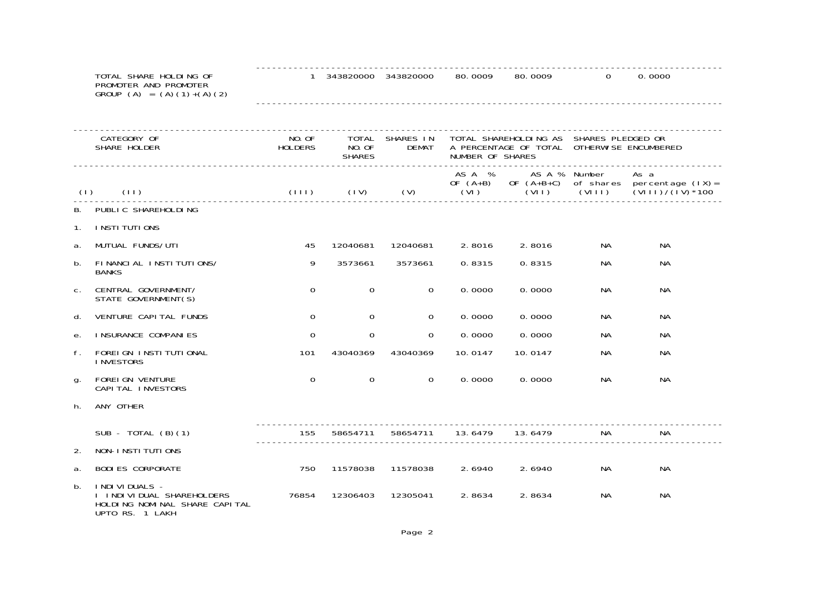|                | TOTAL SHARE HOLDING OF<br>PROMOTER AND PROMOTER<br>GROUP $(A) = (A)(1)+(A)(2)$                       |                   | 1 343820000 343820000            |                    | 80.0009          | 80,0009                | $\Omega$                                                                              | 0.0000                                                                              |
|----------------|------------------------------------------------------------------------------------------------------|-------------------|----------------------------------|--------------------|------------------|------------------------|---------------------------------------------------------------------------------------|-------------------------------------------------------------------------------------|
|                |                                                                                                      |                   |                                  |                    |                  |                        |                                                                                       |                                                                                     |
|                | CATEGORY OF<br>SHARE HOLDER                                                                          | NO. OF<br>HOLDERS | TOTAL<br>NO. OF<br><b>SHARES</b> | SHARES IN<br>DEMAT | NUMBER OF SHARES |                        | TOTAL SHAREHOLDING AS SHARES PLEDGED OR<br>A PERCENTAGE OF TOTAL OTHERWISE ENCUMBERED |                                                                                     |
| (1)            | (11)                                                                                                 | $(111)$ $(11)$    |                                  | (V)                | ASA %<br>(VI)    | AS A % Number<br>(VII) | (VIII)                                                                                | As a<br>OF $(A+B)$ OF $(A+B+C)$ of shares percentage $(IX)$ =<br>$(VIII)/(IV)^*100$ |
| В.             | PUBLIC SHAREHOLDING                                                                                  |                   |                                  |                    |                  |                        |                                                                                       |                                                                                     |
| $\mathbf{1}$ . | I NSTI TUTI ONS                                                                                      |                   |                                  |                    |                  |                        |                                                                                       |                                                                                     |
| a.             | MUTUAL FUNDS/UTI                                                                                     | 45                | 12040681                         | 12040681           | 2.8016           | 2.8016                 | NA.                                                                                   | <b>NA</b>                                                                           |
| b.             | FINANCIAL INSTITUTIONS/<br><b>BANKS</b>                                                              | 9                 | 3573661                          | 3573661            | 0.8315           | 0.8315                 | NA                                                                                    | NA.                                                                                 |
| C.             | CENTRAL GOVERNMENT/<br>STATE GOVERNMENT(S)                                                           | $\Omega$          | 0                                | $\Omega$           | 0.0000           | 0.0000                 | NА                                                                                    | <b>NA</b>                                                                           |
| d.             | VENTURE CAPI TAL FUNDS                                                                               | $\mathbf 0$       | $\mathbf 0$                      | $\mathbf 0$        | 0.0000           | 0.0000                 | NА                                                                                    | NА                                                                                  |
| е.             | <b>I NSURANCE COMPANIES</b>                                                                          | $\Omega$          | $\mathbf 0$                      | $\Omega$           | 0.0000           | 0.0000                 | NA.                                                                                   | NА                                                                                  |
| f.             | FOREI GN INSTITUTIONAL<br><b>INVESTORS</b>                                                           | 101               | 43040369                         | 43040369           | 10.0147          | 10.0147                | NA.                                                                                   | NA.                                                                                 |
| g.             | FOREI GN VENTURE<br>CAPI TAL INVESTORS                                                               | $\mathbf 0$       | $\mathsf{O}\xspace$              | $\Omega$           | 0.0000           | 0.0000                 | NA.                                                                                   | NА                                                                                  |
| h.             | ANY OTHER                                                                                            |                   |                                  |                    |                  |                        |                                                                                       |                                                                                     |
|                | SUB - TOTAL $(B)(1)$                                                                                 | 155               | 58654711                         | 58654711           | 13.6479          | 13.6479                | NA.                                                                                   | NA.                                                                                 |
| 2.             | NON-INSTITUTIONS                                                                                     |                   |                                  |                    |                  |                        |                                                                                       |                                                                                     |
| a.             | <b>BODI ES CORPORATE</b>                                                                             | 750               | 11578038                         | 11578038           | 2.6940           | 2.6940                 | Na                                                                                    | <b>NA</b>                                                                           |
| b.             | I NDI VI DUALS -<br>I I NDI VI DUAL SHAREHOLDERS<br>HOLDING NOMINAL SHARE CAPITAL<br>UPTO RS. 1 LAKH | 76854             | 12306403                         | 12305041           | 2.8634           | 2.8634                 | Na                                                                                    | NA.                                                                                 |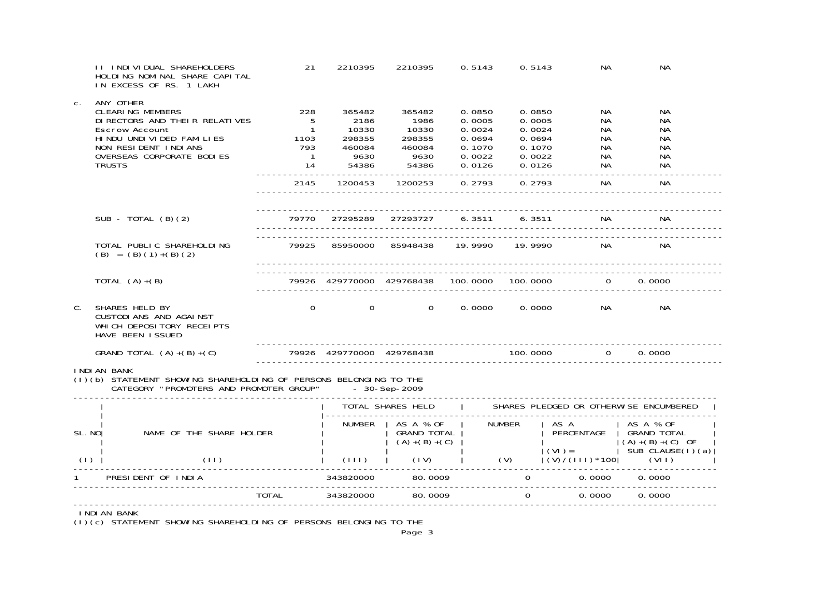|        | <b>II INDIVIDUAL SHAREHOLDERS</b><br>HOLDING NOMINAL SHARE CAPITAL<br>IN EXCESS OF RS. 1 LAKH                                                                                                   | 21                                                                                          | 2210395                                                      | 2210395                                                              | 0.5143                                                   | 0.5143                                                   | Na                                                                           | NA.                                         |  |  |
|--------|-------------------------------------------------------------------------------------------------------------------------------------------------------------------------------------------------|---------------------------------------------------------------------------------------------|--------------------------------------------------------------|----------------------------------------------------------------------|----------------------------------------------------------|----------------------------------------------------------|------------------------------------------------------------------------------|---------------------------------------------|--|--|
| C.     | ANY OTHER<br><b>CLEARING MEMBERS</b><br>DI RECTORS AND THEIR RELATIVES<br>Escrow Account<br>HI NDU UNDI VI DED FAMI LI ES<br>NON RESIDENT INDIANS<br>OVERSEAS CORPORATE BODIES<br><b>TRUSTS</b> | 228<br>$-5$<br>$\overline{1}$<br>ا<br>1103<br>793<br>$\begin{array}{c} 1 \\ 14 \end{array}$ | 365482<br>2186<br>10330<br>298355<br>460084<br>9630<br>54386 | 365482<br>1986<br>10330<br>298355<br>460084<br>9630<br>9630<br>54386 | 0.0850<br>0.0005<br>0.0024<br>0.0694<br>0.1070<br>0.0022 | 0.0850<br>0.0005<br>0.0024<br>0.0694<br>0.1070<br>0.0022 | NA<br>NA.<br>NA.<br>Na<br>Na<br>NA                                           | NA.<br>NА<br>NA.<br>NA.<br>NA.<br>NА<br>NA. |  |  |
|        |                                                                                                                                                                                                 |                                                                                             |                                                              |                                                                      |                                                          |                                                          | NA                                                                           | <b>NA</b>                                   |  |  |
|        | SUB - TOTAL $(B)(2)$                                                                                                                                                                            |                                                                                             |                                                              |                                                                      |                                                          |                                                          |                                                                              |                                             |  |  |
|        | TOTAL PUBLIC SHAREHOLDING<br>$(B) = (B) (1) + (B) (2)$                                                                                                                                          | 79925                                                                                       |                                                              | 85950000 85948438 19.9990 19.9990                                    |                                                          |                                                          | NA                                                                           | NA                                          |  |  |
|        | TOTAL $(A)+(B)$                                                                                                                                                                                 |                                                                                             |                                                              |                                                                      |                                                          |                                                          | 79926 429770000 429768438 100.0000 100.0000 0                                | 0.0000                                      |  |  |
| C.     | SHARES HELD BY<br>CUSTODI ANS AND AGAINST<br>WHI CH DEPOSI TORY RECEI PTS<br>HAVE BEEN ISSUED                                                                                                   | $\Omega$                                                                                    | $\mathbf{O}$                                                 | $\Omega$                                                             | 0.0000                                                   |                                                          | 0.0000<br>NA.                                                                | NA.                                         |  |  |
|        | GRAND TOTAL $(A)+(B)+(C)$                                                                                                                                                                       |                                                                                             |                                                              |                                                                      |                                                          |                                                          | ----------------------------------<br>$79926$ 429770000 429768438 100.0000 0 | 0.0000                                      |  |  |
|        | <b>I NDI AN BANK</b><br>(1) (b) STATEMENT SHOWING SHAREHOLDING OF PERSONS BELONGING TO THE CATEGORY "PROMOTERS AND PROMOTER GROUP" - 30-Sep-2009                                                |                                                                                             |                                                              |                                                                      |                                                          |                                                          |                                                                              |                                             |  |  |
|        | TOTAL SHARES HELD   SHARES PLEDGED OR OTHERWISE ENCUMBERED                                                                                                                                      |                                                                                             |                                                              |                                                                      |                                                          |                                                          |                                                                              |                                             |  |  |
| SL. NO | NAME OF THE SHARE HOLDER                                                                                                                                                                        |                                                                                             |                                                              | NUMBER   AS A % OF<br>GRAND TOTAL  <br>$(A)+(B)+(C)$                 |                                                          | <b>NUMBER</b>                                            | AS A<br>PERCENTAGE                                                           | AS A % OF<br>GRAND TOTAL                    |  |  |
| (1)    | (11)                                                                                                                                                                                            |                                                                                             |                                                              | $\vert$ (III) $\vert$ (IV)                                           |                                                          |                                                          |                                                                              |                                             |  |  |
|        | PRESIDENT OF INDIA                                                                                                                                                                              |                                                                                             |                                                              |                                                                      |                                                          |                                                          | $0.0000$ $0.0000$                                                            |                                             |  |  |
|        |                                                                                                                                                                                                 | TOTAL 343820000                                                                             |                                                              | 80.0009                                                              |                                                          |                                                          | $\Omega$<br>0.0000                                                           | 0.0000                                      |  |  |
|        | INDIAN BANK                                                                                                                                                                                     |                                                                                             |                                                              |                                                                      |                                                          |                                                          |                                                                              |                                             |  |  |

INDIAN BANK (I)(c) STATEMENT SHOWING SHAREHOLDING OF PERSONS BELONGING TO THE

Page 3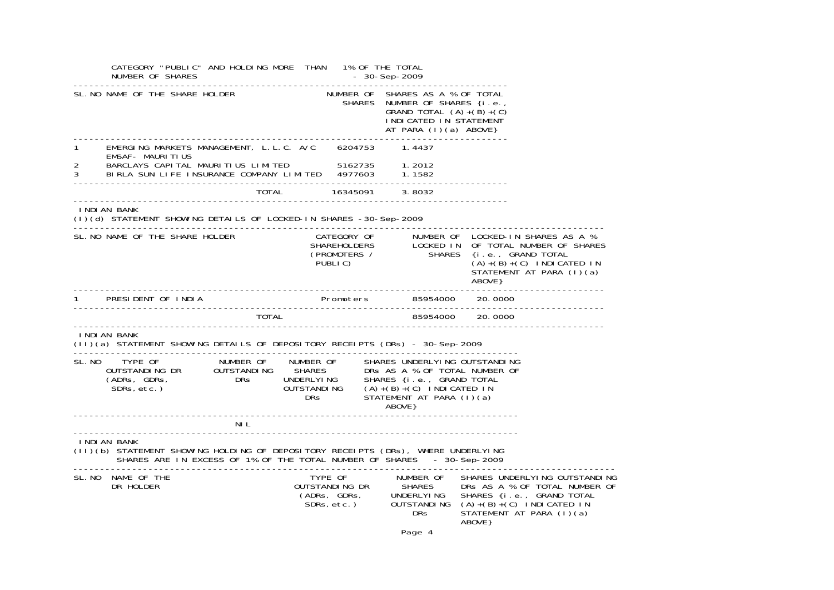|   | CATEGORY "PUBLIC" AND HOLDING MORE THAN 1% OF THE TOTAL                                                                                                                                                                                 |      |  | $-30 - Sep - 2009$                                                                                                                                     |         |                                                                                                                                                                                                                                                                 |
|---|-----------------------------------------------------------------------------------------------------------------------------------------------------------------------------------------------------------------------------------------|------|--|--------------------------------------------------------------------------------------------------------------------------------------------------------|---------|-----------------------------------------------------------------------------------------------------------------------------------------------------------------------------------------------------------------------------------------------------------------|
|   | SL. NO NAME OF THE SHARE HOLDER                                                                                                                                                                                                         |      |  | NUMBER OF SHARES AS A % OF TOTAL<br>SHARES NUMBER OF SHARES {i.e.,<br>GRAND TOTAL $(A)+(B)+(C)$<br>I NDI CATED IN STATEMENT<br>AT PARA $(1)(a)$ ABOVE} |         |                                                                                                                                                                                                                                                                 |
| 1 | <b>EMSAF- MAURITIUS</b>                                                                                                                                                                                                                 |      |  |                                                                                                                                                        |         |                                                                                                                                                                                                                                                                 |
|   | 2 BARCLAYS CAPITAL MAURITIUS LIMITED 5162735 1.2012<br>3 BIRLA SUN LIFE INSURANCE COMPANY LIMITED 4977603 1.1582                                                                                                                        |      |  |                                                                                                                                                        |         |                                                                                                                                                                                                                                                                 |
|   |                                                                                                                                                                                                                                         |      |  |                                                                                                                                                        |         |                                                                                                                                                                                                                                                                 |
|   | I NDI AN BANK<br>(I)(d) STATEMENT SHOWING DETAILS OF LOCKED-IN SHARES -30-Sep-2009                                                                                                                                                      |      |  |                                                                                                                                                        |         |                                                                                                                                                                                                                                                                 |
|   | SL. NO NAME OF THE SHARE HOLDER                                                                                                                                                                                                         |      |  |                                                                                                                                                        | ABOVE } | CATEGORY OF NUMBER OF LOCKED-IN SHARES AS A %<br>SHAREHOLDERS LOCKED IN OF TOTAL NUMBER OF SHARES<br>(PROMOTERS / SHARES {i.e., GRAND TOTAL<br>PUBLIC) (A)+(B)+(C) INDICATED IN<br>$(A)+(B)+(C)$ INDICATED IN<br>STATEMENT AT PARA (I)(a)<br>------------------ |
|   |                                                                                                                                                                                                                                         |      |  |                                                                                                                                                        |         |                                                                                                                                                                                                                                                                 |
|   |                                                                                                                                                                                                                                         |      |  |                                                                                                                                                        |         |                                                                                                                                                                                                                                                                 |
|   | INDIAN BANK                                                                                                                                                                                                                             |      |  |                                                                                                                                                        |         |                                                                                                                                                                                                                                                                 |
|   | SL. NO TYPE OF NUMBER OF NUMBER OF SHARES UNDERLYING OUTSTANDING<br>OUTSTANDING DR OUTSTANDING SHARES DRS AS A % OF TOTAL NUMBER OF<br>(ADRS, GDRS, DRS UNDERLYING SHARES {i.e., GRAND TOTAL<br>SDRS, etc.) DRS UNDERLYING SHARES {i.e. |      |  |                                                                                                                                                        |         |                                                                                                                                                                                                                                                                 |
|   |                                                                                                                                                                                                                                         | NI L |  |                                                                                                                                                        |         |                                                                                                                                                                                                                                                                 |
|   | INDIAN BANK<br>(II)(b) STATEMENT SHOWING HOLDING OF DEPOSITORY RECEIPTS (DRs), WHERE UNDERLYING<br>SHARES ARE IN EXCESS OF 1% OF THE TOTAL NUMBER OF SHARES - 30-Sep-2009                                                               |      |  |                                                                                                                                                        |         |                                                                                                                                                                                                                                                                 |
|   | SL. NO NAME OF THE<br>DR HOLDER                                                                                                                                                                                                         |      |  |                                                                                                                                                        | ABOVE } | TYPE OF NUMBER OF SHARES UNDERLYING OUTSTANDING<br>OUTSTANDING DR SHARES DRS AS A % OF TOTAL NUMBER OF<br>(ADRS, GDRS, UNDERLYING SHARES {i.e., GRAND TOTAL<br>SDRS, etc.) OUTSTANDING (A)+(B)+(C) INDICATED IN<br>DRS STATEMENT AT PARA (                      |

Page 4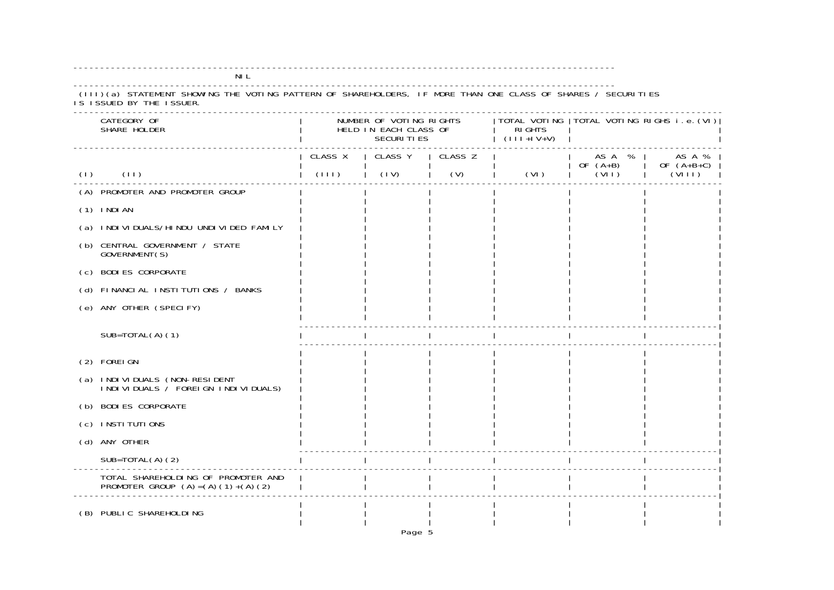| (III)(a) STATEMENT SHOWING THE VOTING PATTERN OF SHAREHOLDERS, IF MORE THAN ONE CLASS OF SHARES / SECURITIES<br>IS ISSUED BY THE ISSUER. |         |                                                                       |         |                                |                                             |                        |  |
|------------------------------------------------------------------------------------------------------------------------------------------|---------|-----------------------------------------------------------------------|---------|--------------------------------|---------------------------------------------|------------------------|--|
| CATEGORY OF<br>SHARE HOLDER                                                                                                              |         | NUMBER OF VOTING RIGHTS<br>HELD IN EACH CLASS OF<br><b>SECURITIES</b> |         | <b>RI GHTS</b><br>$(111+1V+V)$ | TOTAL VOTING   TOTAL VOTING RIGHS i.e. (VI) |                        |  |
|                                                                                                                                          | CLASS X | CLASS Y                                                               | CLASS Z |                                | AS A %                                      | AS A %                 |  |
| (11)<br>(1)                                                                                                                              | (111)   | (IV)                                                                  | (V)     | (VI)                           | OF $(A+B)$<br>(VII)                         | OF $(A+B+C)$<br>(VIII) |  |
| (A) PROMOTER AND PROMOTER GROUP                                                                                                          |         |                                                                       |         |                                |                                             |                        |  |
| $(1)$ INDIAN                                                                                                                             |         |                                                                       |         |                                |                                             |                        |  |
| (a) INDIVIDUALS/HINDU UNDIVIDED FAMILY                                                                                                   |         |                                                                       |         |                                |                                             |                        |  |
| (b) CENTRAL GOVERNMENT / STATE<br>GOVERNMENT(S)                                                                                          |         |                                                                       |         |                                |                                             |                        |  |
| (c) BODI ES CORPORATE                                                                                                                    |         |                                                                       |         |                                |                                             |                        |  |
| (d) FINANCIAL INSTITUTIONS / BANKS                                                                                                       |         |                                                                       |         |                                |                                             |                        |  |
| (e) ANY OTHER (SPECIFY)                                                                                                                  |         |                                                                       |         |                                |                                             |                        |  |
| $SUB=TOTAL(A) (1)$                                                                                                                       |         |                                                                       |         |                                |                                             |                        |  |
| (2) FOREI GN                                                                                                                             |         |                                                                       |         |                                |                                             |                        |  |
| (a) INDIVIDUALS (NON-RESIDENT<br>I NDI VI DUALS / FOREI GN I NDI VI DUALS)                                                               |         |                                                                       |         |                                |                                             |                        |  |
| (b) BODI ES CORPORATE                                                                                                                    |         |                                                                       |         |                                |                                             |                        |  |
| I NSTI TUTI ONS<br>(c)                                                                                                                   |         |                                                                       |         |                                |                                             |                        |  |
| (d) ANY OTHER                                                                                                                            |         |                                                                       |         |                                |                                             |                        |  |
| $SUB=TOTAL(A)(2)$                                                                                                                        |         |                                                                       |         |                                |                                             |                        |  |
| TOTAL SHAREHOLDING OF PROMOTER AND<br>PROMOTER GROUP $(A) = (A) (1) + (A) (2)$                                                           |         |                                                                       |         |                                |                                             |                        |  |
| (B) PUBLIC SHAREHOLDING                                                                                                                  |         |                                                                       |         |                                |                                             |                        |  |

NIL

-----------------------------------------------------------------------------------------------------